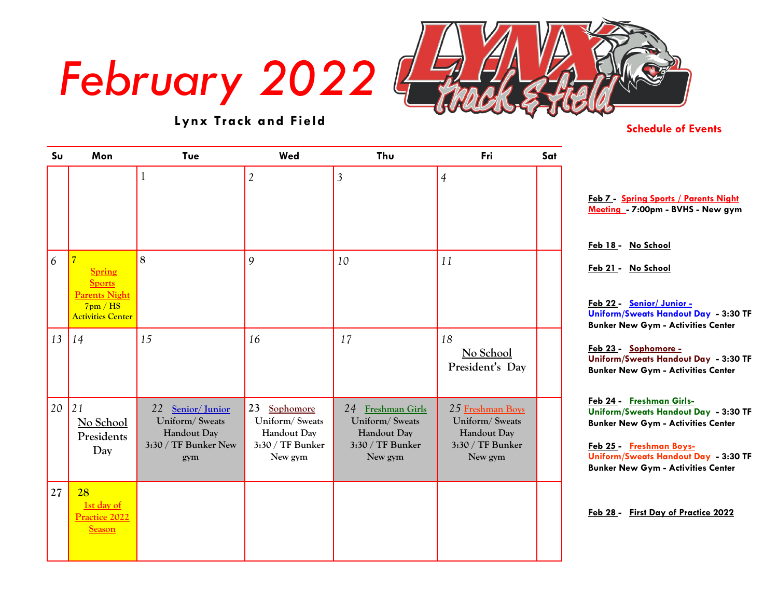# *February 2022*



## **Lynx Track and Field**

### **Schedule of Events**

| $S_{U}$ | Mon                                                                                                            | Tue                                                                              | Wed                                                                             | Thu                                                                               | Fri                                                                              | Sat |                                                                                                                                                                                                                               |
|---------|----------------------------------------------------------------------------------------------------------------|----------------------------------------------------------------------------------|---------------------------------------------------------------------------------|-----------------------------------------------------------------------------------|----------------------------------------------------------------------------------|-----|-------------------------------------------------------------------------------------------------------------------------------------------------------------------------------------------------------------------------------|
|         |                                                                                                                |                                                                                  | $\overline{2}$                                                                  | $\overline{3}$                                                                    | $\overline{4}$                                                                   |     | Feb 7 - Spring Sports / Parents Night<br>Meeting - 7:00pm - BVHS - New gym<br>Feb 18 - No School                                                                                                                              |
| 6       | $\overline{7}$<br><b>Spring</b><br><b>Sports</b><br><b>Parents Night</b><br>7pm/HS<br><b>Activities Center</b> | 8                                                                                | 9                                                                               | 10                                                                                | 11                                                                               |     | Feb 21 - No School<br>Feb 22 - Senior/Junior -<br>Uniform/Sweats Handout Day - 3:30 TF<br><b>Bunker New Gym - Activities Center</b>                                                                                           |
| 13      | 14                                                                                                             | 15                                                                               | 16                                                                              | 17                                                                                | 18<br>No School<br>President's Day                                               |     | Feb 23 - Sophomore -<br>Uniform/Sweats Handout Day - 3:30 TF<br><b>Bunker New Gym - Activities Center</b>                                                                                                                     |
| 20      | 21<br>No School<br>Presidents<br>Day                                                                           | 22 Senior/Junior<br>Uniform/Sweats<br>Handout Day<br>3:30 / TF Bunker New<br>gym | 23<br>Sophomore<br>Uniform/Sweats<br>Handout Day<br>3:30 / TF Bunker<br>New gym | 24 Freshman Girls<br>Uniform/Sweats<br>Handout Day<br>3:30 / TF Bunker<br>New gym | 25 Freshman Boys<br>Uniform/Sweats<br>Handout Day<br>3:30 / TF Bunker<br>New gym |     | Feb 24 - Freshman Girls-<br>Uniform/Sweats Handout Day - 3:30 TF<br><b>Bunker New Gym - Activities Center</b><br>Feb 25 - Freshman Boys-<br>Uniform/Sweats Handout Day - 3:30 TF<br><b>Bunker New Gym - Activities Center</b> |
| 27      | 28<br>1st day of<br><b>Practice 2022</b><br><b>Season</b>                                                      |                                                                                  |                                                                                 |                                                                                   |                                                                                  |     | Feb 28 - First Day of Practice 2022                                                                                                                                                                                           |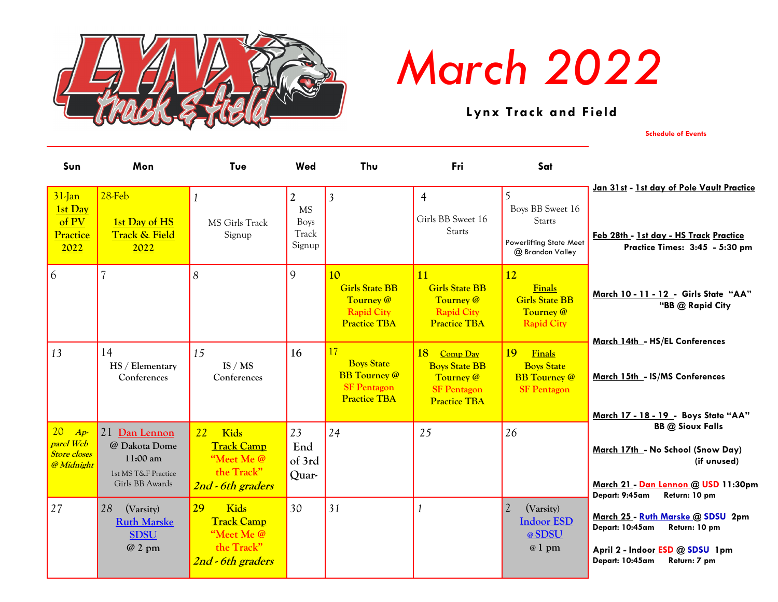

# *March 2022*

 **Lynx Track and Field**

**Schedule of Events**

| Sun                                                           | Mon                                                                                  | Tue                                                                                     | Wed                                                           | Thu                                                                                         | Fri                                                                                              | Sat                                                                                   |                                                                                                                                                       |
|---------------------------------------------------------------|--------------------------------------------------------------------------------------|-----------------------------------------------------------------------------------------|---------------------------------------------------------------|---------------------------------------------------------------------------------------------|--------------------------------------------------------------------------------------------------|---------------------------------------------------------------------------------------|-------------------------------------------------------------------------------------------------------------------------------------------------------|
| $31$ -Jan<br><b>1st Day</b><br>of PV<br>Practice<br>2022      | $28$ -Feb<br>1st Day of HS<br><b>Track &amp; Field</b><br>2022                       | MS Girls Track<br>Signup                                                                | $\overline{2}$<br><b>MS</b><br><b>Boys</b><br>Track<br>Signup | $\overline{3}$                                                                              | $\overline{4}$<br>Girls BB Sweet 16<br><b>Starts</b>                                             | 5<br>Boys BB Sweet 16<br><b>Starts</b><br>Powerlifting State Meet<br>@ Brandon Valley | Jan 31st - 1st day of Pole Vault Practice<br>Feb 28th - 1st day - HS Track Practice<br>Practice Times: 3:45 - 5:30 pm                                 |
| 6                                                             | $\overline{\mathcal{L}}$                                                             | 8                                                                                       | 9                                                             | 10<br><b>Girls State BB</b><br>Tourney @<br><b>Rapid City</b><br><b>Practice TBA</b>        | 11<br><b>Girls State BB</b><br>Tourney @<br><b>Rapid City</b><br><b>Practice TBA</b>             | 12<br><b>Finals</b><br><b>Girls State BB</b><br>Tourney @<br><b>Rapid City</b>        | March 10 - 11 - 12 - Girls State "AA"<br>"BB @ Rapid City<br>March 14th - HS/EL Conferences                                                           |
| 13                                                            | 14<br>HS / Elementary<br>Conferences                                                 | 15<br>IS / MS<br>Conferences                                                            | 16                                                            | 17<br><b>Boys State</b><br><b>BB</b> Tourney @<br><b>SF Pentagon</b><br><b>Practice TBA</b> | 18<br>Comp Day<br><b>Boys State BB</b><br>Tourney @<br><b>SF Pentagon</b><br><b>Practice TBA</b> | 19<br>Finals<br><b>Boys State</b><br><b>BB</b> Tourney @<br><b>SF Pentagon</b>        | March 15th - IS/MS Conferences<br>March 17 - 18 - 19 - Boys State "AA"                                                                                |
| 20<br>$Ap-$<br>parel Web<br><b>Store closes</b><br>@ Midnight | 21 Dan Lennon<br>@ Dakota Dome<br>11:00 am<br>1st MS T&F Practice<br>Girls BB Awards | 22<br><b>Kids</b><br><b>Track Camp</b><br>"Meet Me @<br>the Track"<br>2nd - 6th graders | 23<br>End<br>of 3rd<br>Quar-                                  | 24                                                                                          | 25                                                                                               | 26                                                                                    | <b>BB</b> @ Sioux Falls<br>March 17th - No School (Snow Day)<br>(if unused)<br>March 21 - Dan Lennon @ USD 11:30pm<br>Depart: 9:45am<br>Return: 10 pm |
| 27                                                            | 28<br>(Varsity)<br><b>Ruth Marske</b><br><b>SDSU</b><br>$@2$ pm                      | Kids<br>29<br><b>Track Camp</b><br>"Meet Me @<br>the Track"<br>2nd - 6th graders        | 30                                                            | 31                                                                                          |                                                                                                  | $\overline{2}$<br>(Varsity)<br><b>Indoor ESD</b><br>@SDSU<br>$@1$ pm                  | March 25 - Ruth Marske @ SDSU 2pm<br>Depart: 10:45am<br>Return: 10 pm<br>April 2 - Indoor ESD @ SDSU 1pm<br>Depart: 10:45am<br>Return: 7 pm           |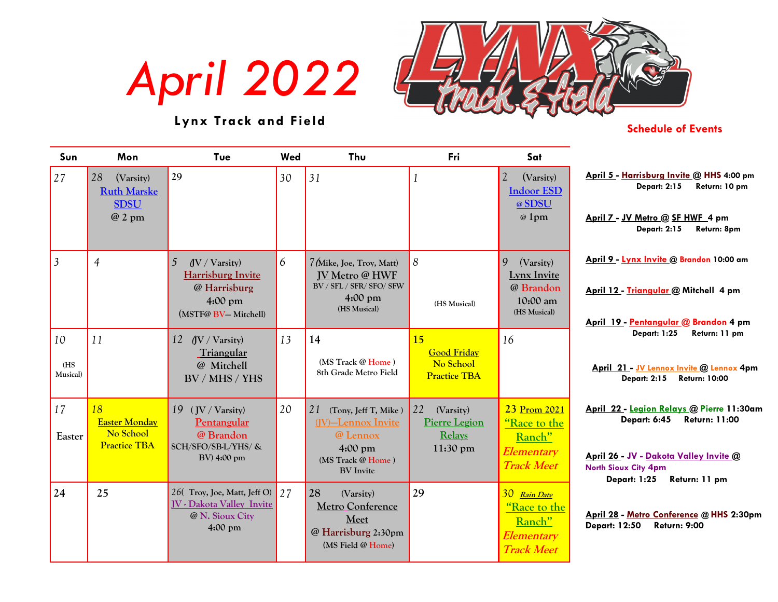*April 2022*



### **Lynx Track and Field**

#### **Schedule of Events**

| Sun              | Mon                                                             | Tue                                                             | Wed | Thu                                                           | Fri                                   | Sat                                                  |                                                                                                                       |
|------------------|-----------------------------------------------------------------|-----------------------------------------------------------------|-----|---------------------------------------------------------------|---------------------------------------|------------------------------------------------------|-----------------------------------------------------------------------------------------------------------------------|
| 27               | 28<br>(Varsity)<br><b>Ruth Marske</b><br><b>SDSU</b><br>$@2$ pm | 29                                                              | 30  | 31                                                            |                                       | 2<br>(Varsity)<br><b>Indoor ESD</b><br>@SDSU<br>@1pm | April 5 - Harrisburg Invite @ HHS 4:00 pm<br><b>Depart: 2:15</b><br>Return: 10 pm<br>April 7 - JV Metro @ SF HWF 4 pm |
|                  |                                                                 |                                                                 |     |                                                               |                                       |                                                      | <b>Depart: 2:15</b><br>Return: 8pm                                                                                    |
| $\overline{3}$   | $\overline{4}$                                                  | 5<br>$\sqrt{\text{V}}$ / Varsity)<br><b>Harrisburg Invite</b>   | 6   | 7 (Mike, Joe, Troy, Matt)<br>JV Metro @ HWF                   | $\boldsymbol{8}$                      | 9<br>(Varsity)<br><b>Lynx Invite</b>                 | April 9 - Lynx Invite @ Brandon 10:00 am                                                                              |
|                  |                                                                 | @ Harrisburg<br>$4:00 \text{ pm}$<br>(MSTF@ BV-Mitchell)        |     | BV / SFL / SFR/ SFO/ SFW<br>$4:00 \text{ pm}$<br>(HS Musical) | (HS Musical)                          | @ Brandon<br>10:00 am<br>(HS Musical)                | April 12 - Triangular @ Mitchell 4 pm                                                                                 |
|                  |                                                                 |                                                                 |     |                                                               |                                       |                                                      | April 19 - Pentangular @ Brandon 4 pm<br><b>Depart: 1:25</b><br>Return: 11 pm                                         |
| 10<br>(HS        | 11                                                              | 12<br>(V / Varsity)<br>Triangular<br>@ Mitchell                 | 13  | 14<br>$(MS$ Track $@$ Home)                                   | 15<br><b>Good Friday</b><br>No School | 16                                                   |                                                                                                                       |
| <b>Musical</b> ) |                                                                 | BV / MHS / YHS                                                  |     | 8th Grade Metro Field                                         | <b>Practice TBA</b>                   |                                                      | April 21 - JV Lennox Invite @ Lennox 4pm<br><b>Depart: 2:15</b><br><b>Return: 10:00</b>                               |
| 17               | 18<br><b>Easter Monday</b>                                      | 19 $(JV / Varsity)$<br>Pentangular                              | 20  | 21<br>(Tony, Jeff T, Mike)<br>(JV)-Lennox Invite              | 22<br>(Varsity)<br>Pierre Legion      | 23 Prom 2021<br>"Race to the                         | April 22 - Legion Relays @ Pierre 11:30am<br><b>Depart: 6:45</b><br><b>Return: 11:00</b>                              |
| Easter           | No School<br><b>Practice TBA</b>                                | @ Brandon<br>SCH/SFO/SB-L/YHS/ &                                |     | @ Lennox<br>$4:00 \text{ pm}$                                 | <b>Relays</b><br>$11:30 \text{ pm}$   | Ranch"<br>Elementary                                 |                                                                                                                       |
|                  |                                                                 | $BV)$ 4:00 pm                                                   |     | (MS Track @ Home)<br><b>BV</b> Invite                         |                                       | <b>Track Meet</b>                                    | April 26 - JV - Dakota Valley Invite @<br><b>North Sioux City 4pm</b><br>Return: 11 pm<br><b>Depart: 1:25</b>         |
| 24               | 25                                                              | 26(Troy, Joe, Matt, Jeff O)<br><b>JV</b> - Dakota Valley Invite | 27  | 28<br>(Varsity)<br><b>Metro Conference</b>                    | 29                                    | 30 Rain Date<br>"Race to the                         |                                                                                                                       |
|                  |                                                                 | @ N. Sioux City<br>$4:00 \text{ pm}$                            |     | Meet<br>@ Harrisburg 2:30pm                                   |                                       | Ranch"<br>Elementary                                 | April 28 - Metro Conference @ HHS 2:30pm<br><b>Depart: 12:50</b><br><b>Return: 9:00</b>                               |
|                  |                                                                 |                                                                 |     | (MS Field @ Home)                                             |                                       | <b>Track Meet</b>                                    |                                                                                                                       |